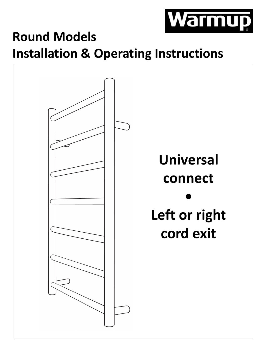

# **Round Models Installation & Operating Instructions**

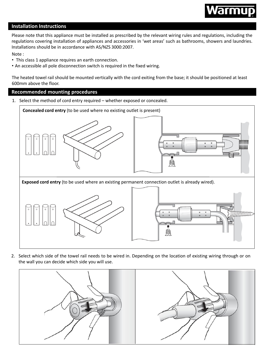

# **Installation Instructions**

Please note that this appliance must be installed as prescribed by the relevant wiring rules and regulations, including the regulations covering installation of appliances and accessories in 'wet areas' such as bathrooms, showers and laundries. Installations should be in accordance with AS/NZS 3000:2007.

Note :

- This class 1 appliance requires an earth connection.
- An accessible all pole disconnection switch is required in the fixed wiring.

The heated towel rail should be mounted vertically with the cord exiting from the base; it should be positioned at least 600mm above the floor.

# **Recommended mounting procedures**

1. Select the method of cord entry required – whether exposed or concealed.



2. Select which side of the towel rail needs to be wired in. Depending on the location of existing wiring through or on the wall you can decide which side you will use.

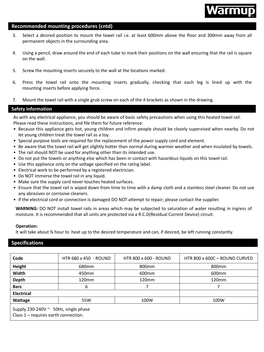

### **Recommended mounting procedures (cntd)**

- 3. Select a desired position to mount the towel rail i.e. at least 600mm above the floor and 300mm away from all permanent objects in the surrounding area.
- 4. Using a pencil, draw around the end of each tube to mark their positions on the wall ensuring that the rail is square on the wall.
- 5. Screw the mounting inserts securely to the wall at the locations marked.
- 6. Press the towel rail onto the mounting inserts gradually, checking that each leg is lined up with the mounting inserts before applying force.
- 7. Mount the towel rail with a single grub screw on each of the 4 brackets as shown in the drawing.

### **Safety information**

As with any electrical appliance, you should be aware of basic safety precautions when using this heated towel rail. Please read these instructions, and file them for future reference:

- Because this appliance gets hot, young children and infirm people should be closely supervised when nearby. Do not let young children treat the towel rail as a toy.
- Special purpose tools are required for the replacement of the power supply cord and element.
- Be aware that the towel rail will get slightly hotter than normal during warmer weather and when insulated by towels.
- The rail should NOT be used for anything other than its intended use.
- Do not put the towels or anything else which has been in contact with hazardous liquids on this towel rail.
- Use this appliance only on the voltage specified on the rating label.
- Electrical work to be performed by a registered electrician.
- Do NOT immerse the towel rail in any liquid.
- Make sure the supply cord never touches heated surfaces.
- Ensure that the towel rail is wiped down from time to time with a damp cloth and a stainless steel cleaner. Do not use any abrasives or corrosive cleaners.
- If the electrical cord or connection is damaged DO NOT attempt to repair; please contact the supplier.

**WARNING:** DO NOT install towel rails in areas which may be subjected to saturation of water resulting in ingress of moisture. It is recommended that all units are protected via a R.C.D(Residual Current Device) circuit.

#### **Operation:**

It will take about ¾ hour to heat up to the desired temperature and can, if desired, be left running constantly.

### **Specifications**

| Code                                                                           | HTR 680 x 450 - ROUND | <b>HTR 800 x 600 - ROUND</b> | HTR 800 x 600C - ROUND CURVED |
|--------------------------------------------------------------------------------|-----------------------|------------------------------|-------------------------------|
| Height                                                                         | 680mm                 | 800mm                        | 800 <sub>mm</sub>             |
| Width                                                                          | 450mm                 | 600 <sub>mm</sub>            | 600 <sub>mm</sub>             |
| <b>Depth</b>                                                                   | 120mm                 | 120mm                        | 120mm                         |
| <b>Bars</b>                                                                    | 6                     |                              |                               |
| <b>Electrical</b>                                                              |                       |                              |                               |
| Wattage                                                                        | 55W                   | 100W                         | 100W                          |
| Supply 230-240V ~ 50Hz, single phase<br>Class $1$ – requires earth connection. |                       |                              |                               |